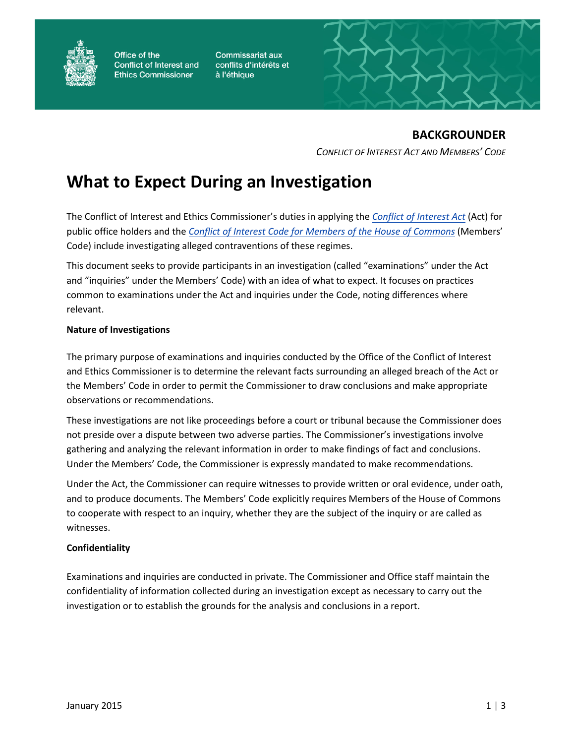

Office of the **Conflict of Interest and Ethics Commissioner** 

**Commissariat aux** conflits d'intérêts et à l'éthique



# **BACKGROUNDER**

*CONFLICT OF INTEREST ACT AND MEMBERS' CODE*

# **What to Expect During an Investigation**

The Conflict of Interest and Ethics Commissioner's duties in applying the *[Conflict of Interest Act](https://ciec-ccie.parl.gc.ca/en/publications/Pages/CoIA-LCI.aspx)* (Act) for public office holders and the *[Conflict of Interest Code for Members of the House of Commons](https://ciec-ccie.parl.gc.ca/en/publications/Pages/Code.aspx)* (Members' Code) include investigating alleged contraventions of these regimes.

This document seeks to provide participants in an investigation (called "examinations" under the Act and "inquiries" under the Members' Code) with an idea of what to expect. It focuses on practices common to examinations under the Act and inquiries under the Code, noting differences where relevant.

# **Nature of Investigations**

The primary purpose of examinations and inquiries conducted by the Office of the Conflict of Interest and Ethics Commissioner is to determine the relevant facts surrounding an alleged breach of the Act or the Members' Code in order to permit the Commissioner to draw conclusions and make appropriate observations or recommendations.

These investigations are not like proceedings before a court or tribunal because the Commissioner does not preside over a dispute between two adverse parties. The Commissioner's investigations involve gathering and analyzing the relevant information in order to make findings of fact and conclusions. Under the Members' Code, the Commissioner is expressly mandated to make recommendations.

Under the Act, the Commissioner can require witnesses to provide written or oral evidence, under oath, and to produce documents. The Members' Code explicitly requires Members of the House of Commons to cooperate with respect to an inquiry, whether they are the subject of the inquiry or are called as witnesses.

#### **Confidentiality**

Examinations and inquiries are conducted in private. The Commissioner and Office staff maintain the confidentiality of information collected during an investigation except as necessary to carry out the investigation or to establish the grounds for the analysis and conclusions in a report.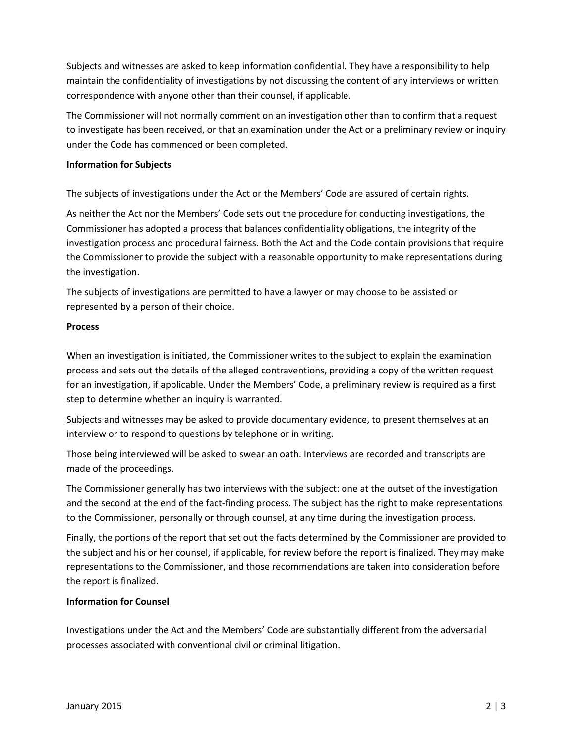Subjects and witnesses are asked to keep information confidential. They have a responsibility to help maintain the confidentiality of investigations by not discussing the content of any interviews or written correspondence with anyone other than their counsel, if applicable.

The Commissioner will not normally comment on an investigation other than to confirm that a request to investigate has been received, or that an examination under the Act or a preliminary review or inquiry under the Code has commenced or been completed.

## **Information for Subjects**

The subjects of investigations under the Act or the Members' Code are assured of certain rights.

As neither the Act nor the Members' Code sets out the procedure for conducting investigations, the Commissioner has adopted a process that balances confidentiality obligations, the integrity of the investigation process and procedural fairness. Both the Act and the Code contain provisions that require the Commissioner to provide the subject with a reasonable opportunity to make representations during the investigation.

The subjects of investigations are permitted to have a lawyer or may choose to be assisted or represented by a person of their choice.

### **Process**

When an investigation is initiated, the Commissioner writes to the subject to explain the examination process and sets out the details of the alleged contraventions, providing a copy of the written request for an investigation, if applicable. Under the Members' Code, a preliminary review is required as a first step to determine whether an inquiry is warranted.

Subjects and witnesses may be asked to provide documentary evidence, to present themselves at an interview or to respond to questions by telephone or in writing.

Those being interviewed will be asked to swear an oath. Interviews are recorded and transcripts are made of the proceedings.

The Commissioner generally has two interviews with the subject: one at the outset of the investigation and the second at the end of the fact-finding process. The subject has the right to make representations to the Commissioner, personally or through counsel, at any time during the investigation process.

Finally, the portions of the report that set out the facts determined by the Commissioner are provided to the subject and his or her counsel, if applicable, for review before the report is finalized. They may make representations to the Commissioner, and those recommendations are taken into consideration before the report is finalized.

# **Information for Counsel**

Investigations under the Act and the Members' Code are substantially different from the adversarial processes associated with conventional civil or criminal litigation.